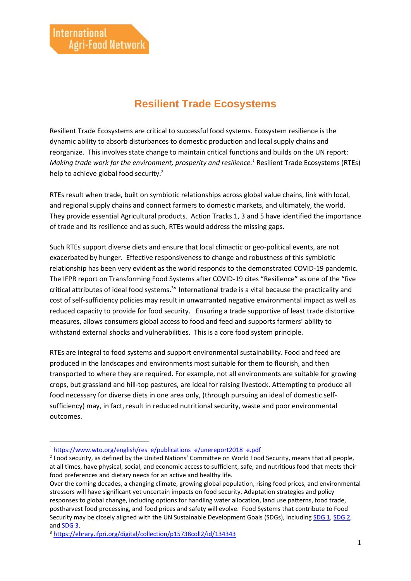## **Resilient Trade Ecosystems**

Resilient Trade Ecosystems are critical to successful food systems. Ecosystem resilience is the dynamic ability to absorb disturbances to domestic production and local supply chains and reorganize. This involves state change to maintain critical functions and builds on the UN report: *Making trade work for the environment, prosperity and resilience. <sup>1</sup>* Resilient Trade Ecosystems (RTEs) help to achieve global food security.<sup>2</sup>

RTEs result when trade, built on symbiotic relationships across global value chains, link with local, and regional supply chains and connect farmers to domestic markets, and ultimately, the world. They provide essential Agricultural products. Action Tracks 1, 3 and 5 have identified the importance of trade and its resilience and as such, RTEs would address the missing gaps.

Such RTEs support diverse diets and ensure that local climactic or geo-political events, are not exacerbated by hunger. Effective responsiveness to change and robustness of this symbiotic relationship has been very evident as the world responds to the demonstrated COVID-19 pandemic. The IFPR report on Transforming Food Systems after COVID-19 cites "Resilience" as one of the "five critical attributes of ideal food systems.<sup>3</sup>" International trade is a vital because the practicality and cost of self-sufficiency policies may result in unwarranted negative environmental impact as well as reduced capacity to provide for food security. Ensuring a trade supportive of least trade distortive measures, allows consumers global access to food and feed and supports farmers' ability to withstand external shocks and vulnerabilities. This is a core food system principle.

RTEs are integral to food systems and support environmental sustainability. Food and feed are produced in the landscapes and environments most suitable for them to flourish, and then transported to where they are required. For example, not all environments are suitable for growing crops, but grassland and hill-top pastures, are ideal for raising livestock. Attempting to produce all food necessary for diverse diets in one area only, (through pursuing an ideal of domestic selfsufficiency) may, in fact, result in reduced nutritional security, waste and poor environmental outcomes.

<sup>&</sup>lt;sup>1</sup> [https://www.wto.org/english/res\\_e/publications\\_e/unereport2018\\_e.pdf](https://www.wto.org/english/res_e/publications_e/unereport2018_e.pdf)

<sup>&</sup>lt;sup>2</sup> Food security, as defined by the United Nations' Committee on World Food Security, means that all people, at all times, have physical, social, and economic access to sufficient, safe, and nutritious food that meets their food preferences and dietary needs for an active and healthy life.

Over the coming decades, a changing climate, growing global population, rising food prices, and environmental stressors will have significant yet uncertain impacts on food security. Adaptation strategies and policy responses to global change, including options for handling water allocation, land use patterns, food trade, postharvest food processing, and food prices and safety will evolve. Food Systems that contribute to Food Security may be closely aligned with the UN Sustainable Development Goals (SDGs), including [SDG 1,](https://sustainabledevelopment.un.org/sdg1) [SDG 2,](https://sustainabledevelopment.un.org/sdg2)  and [SDG 3.](https://sustainabledevelopment.un.org/sdg3)

<sup>3</sup> <https://ebrary.ifpri.org/digital/collection/p15738coll2/id/134343>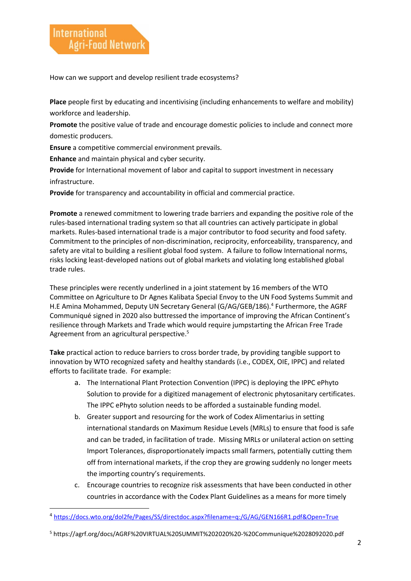How can we support and develop resilient trade ecosystems?

**Place** people first by educating and incentivising (including enhancements to welfare and mobility) workforce and leadership.

**Promote** the positive value of trade and encourage domestic policies to include and connect more domestic producers.

**Ensure** a competitive commercial environment prevails.

**Enhance** and maintain physical and cyber security.

**Provide** for International movement of labor and capital to support investment in necessary infrastructure.

**Provide** for transparency and accountability in official and commercial practice.

**Promote** a renewed commitment to lowering trade barriers and expanding the positive role of the rules-based international trading system so that all countries can actively participate in global markets. Rules-based international trade is a major contributor to food security and food safety. Commitment to the principles of non-discrimination, reciprocity, enforceability, transparency, and safety are vital to building a resilient global food system. A failure to follow International norms, risks locking least-developed nations out of global markets and violating long established global trade rules.

These principles were recently underlined in a joint statement by 16 members of the WTO Committee on Agriculture to Dr Agnes Kalibata Special Envoy to the UN Food Systems Summit and H.E Amina Mohammed, Deputy UN Secretary General (G/AG/GEB/186).<sup>4</sup> Furthermore, the AGRF Communiqué signed in 2020 also buttressed the importance of improving the African Continent's resilience through Markets and Trade which would require jumpstarting the African Free Trade Agreement from an agricultural perspective.<sup>5</sup>

**Take** practical action to reduce barriers to cross border trade, by providing tangible support to innovation by WTO recognized safety and healthy standards (i.e., CODEX, OIE, IPPC) and related efforts to facilitate trade. For example:

- a. The International Plant Protection Convention (IPPC) is deploying the IPPC ePhyto Solution to provide for a digitized management of electronic phytosanitary certificates. The IPPC ePhyto solution needs to be afforded a sustainable funding model.
- b. Greater support and resourcing for the work of Codex Alimentarius in setting international standards on Maximum Residue Levels (MRLs) to ensure that food is safe and can be traded, in facilitation of trade. Missing MRLs or unilateral action on setting Import Tolerances, disproportionately impacts small farmers, potentially cutting them off from international markets, if the crop they are growing suddenly no longer meets the importing country's requirements.
- c. Encourage countries to recognize risk assessments that have been conducted in other countries in accordance with the Codex Plant Guidelines as a means for more timely

<sup>4</sup> <https://docs.wto.org/dol2fe/Pages/SS/directdoc.aspx?filename=q:/G/AG/GEN166R1.pdf&Open=True>

<sup>5</sup> https://agrf.org/docs/AGRF%20VIRTUAL%20SUMMIT%202020%20-%20Communique%2028092020.pdf